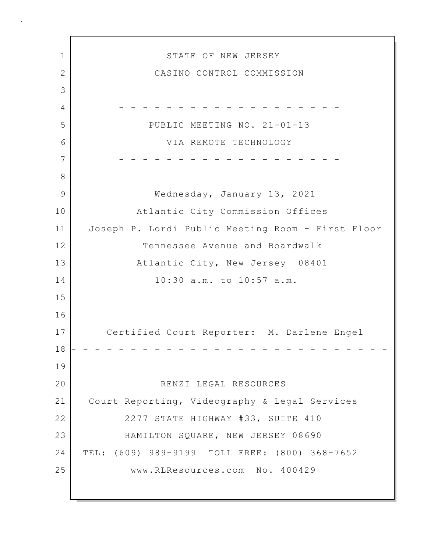1 STATE OF NEW JERSEY 2 CASINO CONTROL COMMISSION 3 4 - - - - - - - - - - - - - - - - - - - 5 PUBLIC MEETING NO. 21-01-13 6 VIA REMOTE TECHNOLOGY 7 - - - - - - - - - - - - - - - - - - - 8 9 Wednesday, January 13, 2021 10 Atlantic City Commission Offices 11 Joseph P. Lordi Public Meeting Room - First Floor 12 Tennessee Avenue and Boardwalk 13 Atlantic City, New Jersey 08401 14 10:30 a.m. to 10:57 a.m. 15 16 17 Certified Court Reporter: M. Darlene Engel 18 - - - - - - - - - - - - - - - - - - - - - - - - - - - 19 20 RENZI LEGAL RESOURCES 21 Court Reporting, Videography & Legal Services 22 2277 STATE HIGHWAY #33, SUITE 410 23 HAMILTON SQUARE, NEW JERSEY 08690 24 TEL: (609) 989-9199 TOLL FREE: (800) 368-7652 25 www.RLResources.com No. 400429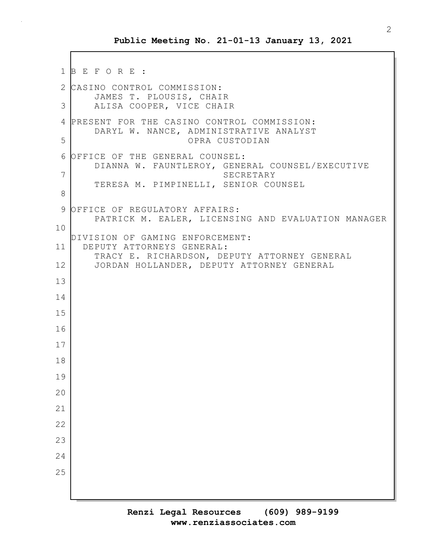```
1 B E F O R E :
2 CASINO CONTROL COMMISSION:
       JAMES T. PLOUSIS, CHAIR
3 ALISA COOPER, VICE CHAIR
4 PRESENT FOR THE CASINO CONTROL COMMISSION:
       DARYL W. NANCE, ADMINISTRATIVE ANALYST
5 OPRA CUSTODIAN
6 OFFICE OF THE GENERAL COUNSEL:
       DIANNA W. FAUNTLEROY, GENERAL COUNSEL/EXECUTIVE
7 SECRETARY
       TERESA M. PIMPINELLI, SENIOR COUNSEL
8
9 OFFICE OF REGULATORY AFFAIRS:
       PATRICK M. EALER, LICENSING AND EVALUATION MANAGER
10
  DIVISION OF GAMING ENFORCEMENT:
11 DEPUTY ATTORNEYS GENERAL:
       TRACY E. RICHARDSON, DEPUTY ATTORNEY GENERAL
12 JORDAN HOLLANDER, DEPUTY ATTORNEY GENERAL
13
14
15
16
17
18
19
20
21
22
23
24
25
```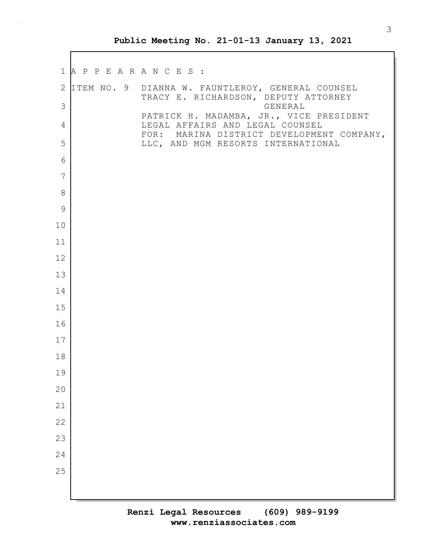|                   | 1 A P P E A R A N C E S : |                                                                                                     |
|-------------------|---------------------------|-----------------------------------------------------------------------------------------------------|
| $\mathbf{2}$<br>3 |                           | ITEM NO. 9 DIANNA W. FAUNTLEROY, GENERAL COUNSEL<br>TRACY E. RICHARDSON, DEPUTY ATTORNEY<br>GENERAL |
| 4                 |                           | PATRICK H. MADAMBA, JR., VICE PRESIDENT<br>LEGAL AFFAIRS AND LEGAL COUNSEL                          |
| 5                 |                           | FOR: MARINA DISTRICT DEVELOPMENT COMPANY,<br>LLC, AND MGM RESORTS INTERNATIONAL                     |
| 6                 |                           |                                                                                                     |
| 7                 |                           |                                                                                                     |
| 8                 |                           |                                                                                                     |
| $\mathcal{G}$     |                           |                                                                                                     |
| 10                |                           |                                                                                                     |
| 11                |                           |                                                                                                     |
| 12                |                           |                                                                                                     |
| 13<br>14          |                           |                                                                                                     |
| 15                |                           |                                                                                                     |
| 16                |                           |                                                                                                     |
| 17                |                           |                                                                                                     |
| 18                |                           |                                                                                                     |
| 19                |                           |                                                                                                     |
| 20                |                           |                                                                                                     |
| 21                |                           |                                                                                                     |
| 22                |                           |                                                                                                     |
| 23                |                           |                                                                                                     |
| 24                |                           |                                                                                                     |
| 25                |                           |                                                                                                     |
|                   |                           |                                                                                                     |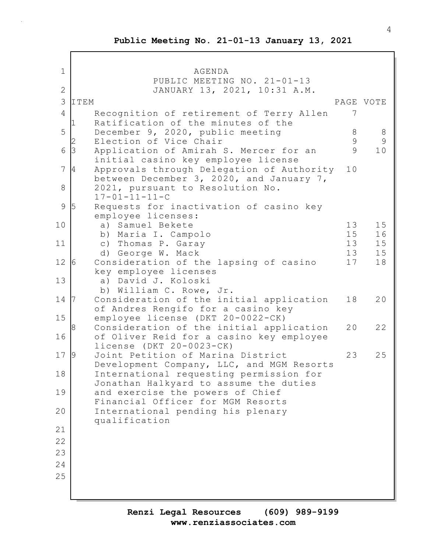1 AGENDA PUBLIC MEETING NO. 21-01-13 2 JANUARY 13, 2021, 10:31 A.M. 3 ITEM PAGE VOTE 4 Recognition of retirement of Terry Allen 7 Ratification of the minutes of the 5 December 9, 2020, public meeting 8 8 Election of Vice Chair 1999 9 6 3 Application of Amirah S. Mercer for an 9 10 initial casino key employee license 7 4 Approvals through Delegation of Authority 10 between December 3, 2020, and January 7, 8 2021, pursuant to Resolution No.  $17 - 01 - 11 - 11 - C$ 9 5 Requests for inactivation of casino key employee licenses: 10 a) Samuel Bekete 13 15 b) Maria I. Campolo 15 16 11 c) Thomas P. Garay 13 13 15 d) George W. Mack 13 15 12 6 Consideration of the lapsing of casino 17 18 key employee licenses 13 a) David J. Koloski b) William C. Rowe, Jr. 14 7 Consideration of the initial application 18 20 of Andres Rengifo for a casino key 15 employee license (DKT 20-0022-CK) Consideration of the initial application 20 22 16 of Oliver Reid for a casino key employee license (DKT 20-0023-CK) 17 9 Joint Petition of Marina District 23 25 Development Company, LLC, and MGM Resorts 18 International requesting permission for Jonathan Halkyard to assume the duties 19 and exercise the powers of Chief Financial Officer for MGM Resorts 20 International pending his plenary qualification 21 22 23 24 25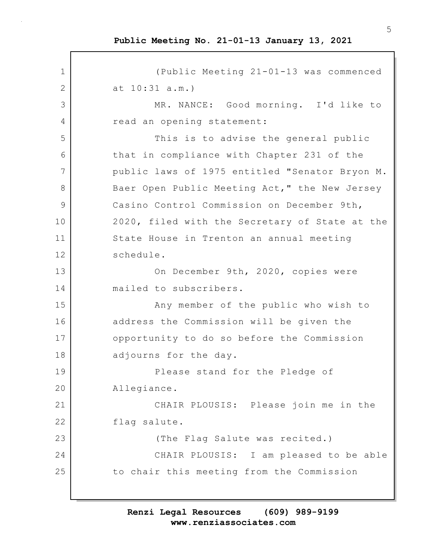1 (Public Meeting 21-01-13 was commenced 2 at 10:31 a.m.) 3 MR. NANCE: Good morning. I'd like to 4 read an opening statement: 5 This is to advise the general public 6 that in compliance with Chapter 231 of the 7 public laws of 1975 entitled "Senator Bryon M. 8 Baer Open Public Meeting Act," the New Jersey 9 Casino Control Commission on December 9th, 10 2020, filed with the Secretary of State at the 11 State House in Trenton an annual meeting 12 schedule. 13 On December 9th, 2020, copies were 14 mailed to subscribers. 15 Any member of the public who wish to 16 address the Commission will be given the 17 opportunity to do so before the Commission 18 adjourns for the day. 19 Please stand for the Pledge of 20 Allegiance. 21 CHAIR PLOUSIS: Please join me in the 22 flag salute. 23 | Casa Company (The Flag Salute was recited.) 24 CHAIR PLOUSIS: I am pleased to be able 25 to chair this meeting from the Commission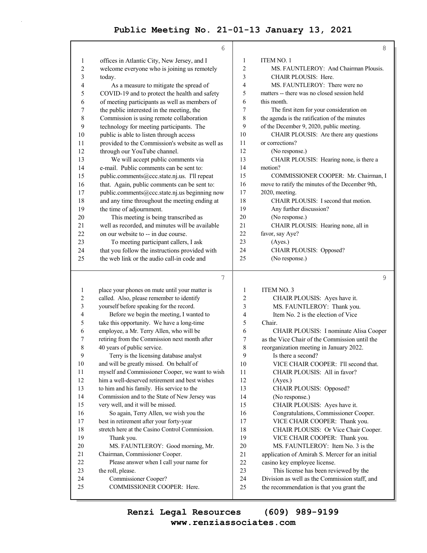|                         | 6                                                                   |                | 8                                                                                   |
|-------------------------|---------------------------------------------------------------------|----------------|-------------------------------------------------------------------------------------|
| 1                       | offices in Atlantic City, New Jersey, and I                         | 1              | ITEM NO. 1                                                                          |
| 2                       | welcome everyone who is joining us remotely                         | $\overline{2}$ | MS. FAUNTLEROY: And Chairman Plousis.                                               |
| 3                       | today.                                                              | 3              | CHAIR PLOUSIS: Here.                                                                |
| 4                       | As a measure to mitigate the spread of                              | 4              | MS. FAUNTLEROY: There were no                                                       |
| 5                       | COVID-19 and to protect the health and safety                       | 5              | matters -- there was no closed session held                                         |
| 6                       | of meeting participants as well as members of                       | 6              | this month.                                                                         |
| 7                       | the public interested in the meeting, the                           | 7              | The first item for your consideration on                                            |
| 8                       | Commission is using remote collaboration                            | 8              | the agenda is the ratification of the minutes                                       |
| 9                       | technology for meeting participants. The                            | 9              | of the December 9, 2020, public meeting.                                            |
| 10                      | public is able to listen through access                             | 10             | CHAIR PLOUSIS: Are there any questions                                              |
| 11                      | provided to the Commission's website as well as                     | 11             | or corrections?                                                                     |
| 12                      | through our YouTube channel.                                        | 12             | (No response.)                                                                      |
| 13                      | We will accept public comments via                                  | 13             | CHAIR PLOUSIS: Hearing none, is there a                                             |
| 14                      | e-mail. Public comments can be sent to:                             | 14             | motion?                                                                             |
| 15                      | public.comments@ccc.state.nj.us. I'll repeat                        | 15             | COMMISSIONER COOPER: Mr. Chairman, I                                                |
| 16                      | that. Again, public comments can be sent to:                        | 16             | move to ratify the minutes of the December 9th,                                     |
| 17                      | public.comments@ccc.state.nj.us beginning now                       | 17             | 2020, meeting.                                                                      |
| 18                      | and any time throughout the meeting ending at                       | 18             | CHAIR PLOUSIS: I second that motion.                                                |
| 19                      | the time of adjournment.                                            | 19             | Any further discussion?                                                             |
| 20                      | This meeting is being transcribed as                                | 20             | (No response.)                                                                      |
| 21                      | well as recorded, and minutes will be available                     | 21             | CHAIR PLOUSIS: Hearing none, all in                                                 |
| 22                      | on our website to -- in due course.                                 | 22             | favor, say Aye?                                                                     |
| 23                      | To meeting participant callers, I ask                               | 23             | (Ayes.)                                                                             |
| 24                      | that you follow the instructions provided with                      | 24             | CHAIR PLOUSIS: Opposed?                                                             |
| 25                      | the web link or the audio call-in code and                          | 25             | (No response.)                                                                      |
|                         | 7                                                                   |                | 9                                                                                   |
| 1                       | place your phones on mute until your matter is                      | $\mathbf{1}$   | <b>ITEM NO. 3</b>                                                                   |
| $\overline{\mathbf{c}}$ | called. Also, please remember to identify                           | 2              | CHAIR PLOUSIS: Ayes have it.                                                        |
| 3                       | yourself before speaking for the record.                            | 3              | MS. FAUNTLEROY: Thank you.                                                          |
| 4                       | Before we begin the meeting, I wanted to                            | 4              | Item No. 2 is the election of Vice                                                  |
| 5                       | take this opportunity. We have a long-time                          | 5              | Chair.                                                                              |
| 6                       | employee, a Mr. Terry Allen, who will be                            | 6              | CHAIR PLOUSIS: I nominate Alisa Cooper                                              |
| 7                       | retiring from the Commission next month after                       | 7              | as the Vice Chair of the Commission until the                                       |
| 8                       | 40 years of public service.                                         | 8              | reorganization meeting in January 2022.                                             |
| 9                       | Terry is the licensing database analyst                             | 9              | Is there a second?                                                                  |
| 10                      | and will be greatly missed. On behalf of                            | 10             | VICE CHAIR COOPER: I'll second that.                                                |
| 11                      | myself and Commissioner Cooper, we want to wish                     | 11             | CHAIR PLOUSIS: All in favor?                                                        |
| 12                      | him a well-deserved retirement and best wishes                      | 12             | (Ayes.)                                                                             |
| 13                      | to him and his family. His service to the                           | 13             | CHAIR PLOUSIS: Opposed?                                                             |
| 14                      | Commission and to the State of New Jersey was                       | 14             | (No response.)                                                                      |
| 15                      | very well, and it will be missed.                                   | 15             | CHAIR PLOUSIS: Ayes have it.                                                        |
| 16                      | So again, Terry Allen, we wish you the                              | 16             | Congratulations, Commissioner Cooper.                                               |
| 17                      | best in retirement after your forty-year                            | 17             | VICE CHAIR COOPER: Thank you.                                                       |
| 18                      | stretch here at the Casino Control Commission.                      | 18             | CHAIR PLOUSIS: Or Vice Chair Cooper.                                                |
| 19                      | Thank you.                                                          | 19             | VICE CHAIR COOPER: Thank you.                                                       |
|                         |                                                                     |                |                                                                                     |
| $20\,$                  |                                                                     |                |                                                                                     |
| 21                      | MS. FAUNTLEROY: Good morning, Mr.<br>Chairman, Commissioner Cooper. | 20<br>21       | MS. FAUNTLEROY: Item No. 3 is the<br>application of Amirah S. Mercer for an initial |

22 casino key employee license.

23 This license has been reviewed by the

24 Division as well as the Commission staff, and

25 the recommendation is that you grant the

23 the roll, please.

24 Commissioner Cooper?

25 COMMISSIONER COOPER: Here.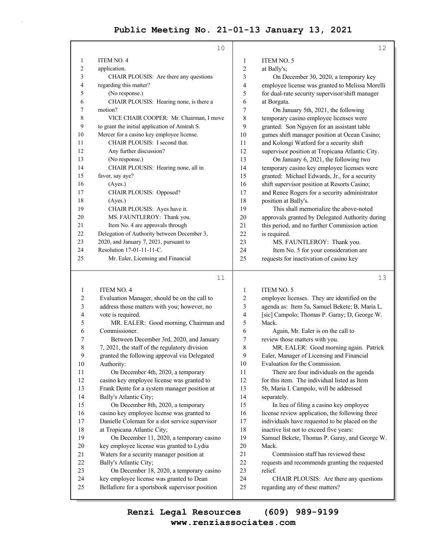|              | 10                                            |                | 12                                              |
|--------------|-----------------------------------------------|----------------|-------------------------------------------------|
| $\mathbf{1}$ | <b>ITEM NO. 4</b>                             | $\mathbf{1}$   | <b>ITEM NO. 5</b>                               |
| 2            | application.                                  | 2              | at Bally's;                                     |
| 3            | CHAIR PLOUSIS: Are there any questions        | 3              | On December 30, 2020, a temporary key           |
| 4            | regarding this matter?                        | $\overline{4}$ | employee license was granted to Melissa Morelli |
| 5            | (No response.)                                | 5              | for dual-rate security supervisor/shift manager |
| 6            | CHAIR PLOUSIS: Hearing none, is there a       | 6              | at Borgata.                                     |
| 7            | motion?                                       | 7              | On January 5th, 2021, the following             |
| 8            | VICE CHAIR COOPER: Mr. Chairman, I move       | 8              | temporary casino employee licenses were         |
| 9            | to grant the initial application of Amirah S. | 9              | granted: Son Nguyen for an assistant table      |
| 10           | Mercer for a casino key employee license.     | 10             | games shift manager position at Ocean Casino;   |
| 11           | CHAIR PLOUSIS: I second that.                 | 11             | and Kolongi Watford for a security shift        |
| 12           | Any further discussion?                       | 12             | supervisor position at Tropicana Atlantic City. |
| 13           | (No response.)                                | 13             | On January 6, 2021, the following two           |
| 14           | CHAIR PLOUSIS: Hearing none, all in           | 14             | temporary casino key employee licenses were     |
| 15           | favor, say aye?                               | 15             | granted: Michael Edwards, Jr., for a security   |
| 16           | (Ayes.)                                       | 16             | shift supervisor position at Resorts Casino;    |
| 17           | CHAIR PLOUSIS: Opposed?                       | 17             | and Renee Rogers for a security administrator   |
| 18           | (Ayes.)                                       | 18             | position at Bally's.                            |
| 19           | CHAIR PLOUSIS: Ayes have it.                  | 19             | This shall memorialize the above-noted          |
| 20           | MS. FAUNTLEROY: Thank you.                    | 20             | approvals granted by Delegated Authority during |
| 21           | Item No. 4 are approvals through              | 2.1            | this period, and no further Commission action   |
| 22           | Delegation of Authority between December 3,   | 22             | is required.                                    |
| 23           | 2020, and January 7, 2021, pursuant to        | 23             | MS. FAUNTLEROY: Thank you.                      |
| 24           | Resolution 17-01-11-11-C.                     | 24             | Item No. 5 for your consideration are           |
| 25           | Mr. Ealer, Licensing and Financial            | 25             | requests for inactivation of casino key         |
|              |                                               |                |                                                 |

#### 11

13

1 ITEM NO. 4 2 Evaluation Manager, should be on the call to 3 address those matters with you; however, no 4 vote is required. 5 MR. EALER: Good morning, Chairman and 6 Commissioner. 7 Between December 3rd, 2020, and January 8 7, 2021, the staff of the regulatory division 9 granted the following approval via Delegated 10 Authority: 11 On December 4th, 2020, a temporary 12 casino key employee license was granted to 13 Frank Dente for a system manager position at 14 Bally's Atlantic City; 15 On December 8th, 2020, a temporary 16 casino key employee license was granted to 17 Danielle Coleman for a slot service supervisor 18 at Tropicana Atlantic City; 19 On December 11, 2020, a temporary casino 20 key employee license was granted to Lydia 21 Waters for a security manager position at 22 Bally's Atlantic City; 23 On December 18, 2020, a temporary casino 24 key employee license was granted to Dean 25 Bellafiore for a sportsbook supervisor position 1 ITEM NO. 5 2 employee licenses. They are identified on the 3 agenda as: Item 5a, Samuel Bekete; B, Maria L. 4 [sic] Campolo; Thomas P. Garay; D, George W. 5 Mack. 6 Again, Mr. Ealer is on the call to 7 review those matters with you. 8 MR. EALER: Good morning again. Patrick 9 Ealer, Manager of Licensing and Financial 10 Evaluation for the Commission. 11 There are four individuals on the agenda 12 for this item. The individual listed as Item 13 5b, Maria I. Campolo, will be addressed 14 separately. 15 In lieu of filing a casino key employee 16 license review application, the following three 17 individuals have requested to be placed on the 18 inactive list not to exceed five years: 19 Samuel Bekete, Thomas P. Garay, and George W. 20 Mack. 21 Commission staff has reviewed these 22 requests and recommends granting the requested 23 relief. 24 CHAIR PLOUSIS: Are there any questions 25 regarding any of these matters?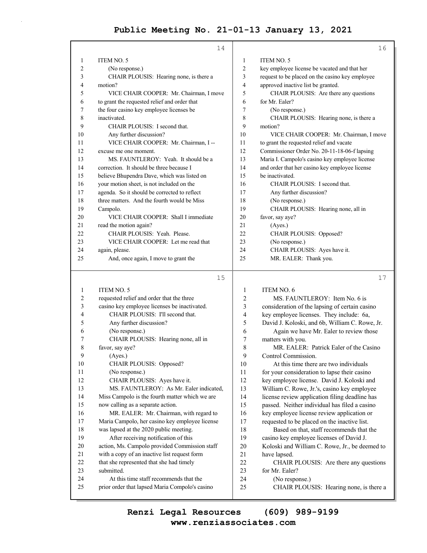|                | 14                                           |                          | 16                                              |
|----------------|----------------------------------------------|--------------------------|-------------------------------------------------|
| 1              | ITEM NO. 5                                   | 1                        | <b>ITEM NO. 5</b>                               |
| 2              | (No response.)                               | $\overline{2}$           | key employee license be vacated and that her    |
| 3              | CHAIR PLOUSIS: Hearing none, is there a      | 3                        | request to be placed on the casino key employee |
| 4              | motion?                                      | 4                        | approved inactive list be granted.              |
| 5              | VICE CHAIR COOPER: Mr. Chairman, I move      | 5                        | CHAIR PLOUSIS: Are there any questions          |
| 6              | to grant the requested relief and order that | 6                        | for Mr. Ealer?                                  |
| 7              | the four casino key employee licenses be     | 7                        | (No response.)                                  |
| 8              | inactivated.                                 | 8                        | CHAIR PLOUSIS: Hearing none, is there a         |
| 9              | CHAIR PLOUSIS: I second that.                | 9                        | motion?                                         |
| 10             | Any further discussion?                      | 10                       | VICE CHAIR COOPER: Mr. Chairman, I move         |
| 11             | VICE CHAIR COOPER: Mr. Chairman, I --        | 11                       | to grant the requested relief and vacate        |
| 12             | excuse me one moment.                        | 12                       | Commissioner Order No. 20-11-18-06-f lapsing    |
| 13             | MS. FAUNTLEROY: Yeah. It should be a         | 13                       | Maria I. Campolo's casino key employee license  |
| 14             | correction. It should be three because I     | 14                       | and order that her casino key employee license  |
| 15             | believe Bhupendra Dave, which was listed on  | 15                       | be inactivated.                                 |
| 16             | your motion sheet, is not included on the    | 16                       | CHAIR PLOUSIS: I second that.                   |
| 17             | agenda. So it should be corrected to reflect | 17                       | Any further discussion?                         |
| 18             | three matters. And the fourth would be Miss  | 18                       | (No response.)                                  |
| 19             | Campolo.                                     | 19                       | CHAIR PLOUSIS: Hearing none, all in             |
| 20             | VICE CHAIR COOPER: Shall I immediate         | 20                       | favor, say aye?                                 |
| 21             | read the motion again?                       | 21                       | (Ayes.)                                         |
| 22             | CHAIR PLOUSIS: Yeah. Please.                 | 22                       | CHAIR PLOUSIS: Opposed?                         |
| 23             | VICE CHAIR COOPER: Let me read that          | 23                       | (No response.)                                  |
| 24             | again, please.                               | 24                       | CHAIR PLOUSIS: Ayes have it.                    |
| 25             | And, once again, I move to grant the         | 25                       | MR. EALER: Thank you.                           |
|                | 15                                           |                          | 17                                              |
| 1              | <b>ITEM NO. 5</b>                            | 1                        | <b>ITEM NO. 6</b>                               |
| $\overline{c}$ | requested relief and order that the three    | 2                        | MS. FAUNTLEROY: Item No. 6 is                   |
| 3              | casino key employee licenses be inactivated. | 3                        | consideration of the lapsing of certain casino  |
| 4              | CHAIR PLOUSIS: I'll second that.             | $\overline{\mathcal{A}}$ | key employee licenses. They include: 6a,        |

| $\mathcal{L}$ | casino key employee neenses be macuvated.      | $\mathcal{L}$  | consideration of the lapsing of certain cashio |
|---------------|------------------------------------------------|----------------|------------------------------------------------|
| 4             | CHAIR PLOUSIS: I'll second that.               | $\overline{4}$ | key employee licenses. They include: 6a,       |
| 5             | Any further discussion?                        | 5              | David J. Koloski, and 6b, William C. Rowe, Jr. |
| 6             | (No response.)                                 | 6              | Again we have Mr. Ealer to review those        |
|               | CHAIR PLOUSIS: Hearing none, all in            | 7              | matters with you.                              |
| 8             | favor, say aye?                                | 8              | MR. EALER: Patrick Ealer of the Casino         |
| 9             | (Ayes.)                                        | 9              | Control Commission.                            |
| 10            | CHAIR PLOUSIS: Opposed?                        | 10             | At this time there are two individuals         |
| 11            | (No response.)                                 | 11             | for your consideration to lapse their casino   |
| 12            | CHAIR PLOUSIS: Ayes have it.                   | 12             | key employee license. David J. Koloski and     |
| 13            | MS. FAUNTLEROY: As Mr. Ealer indicated,        | 13             | William C. Rowe, Jr.'s, casino key employee    |
| 14            | Miss Campolo is the fourth matter which we are | 14             | license review application filing deadline has |
| 15            | now calling as a separate action.              | 15             | passed. Neither individual has filed a casino  |
| 16            | MR. EALER: Mr. Chairman, with regard to        | 16             | key employee license review application or     |
| 17            | Maria Campolo, her casino key employee license | 17             | requested to be placed on the inactive list.   |
| 18            | was lapsed at the 2020 public meeting.         | 18             | Based on that, staff recommends that the       |
| 19            | After receiving notification of this           | 19             | casino key employee licenses of David J.       |
| 20            | action, Ms. Campolo provided Commission staff  | 20             | Koloski and William C. Rowe, Jr., be deemed to |
| 21            | with a copy of an inactive list request form   | 21             | have lapsed.                                   |
| 22            | that she represented that she had timely       | 22             | CHAIR PLOUSIS: Are there any questions         |
| 23            | submitted.                                     | 23             | for Mr. Ealer?                                 |
| 24            | At this time staff recommends that the         | 24             | (No response.)                                 |
| 25            | prior order that lapsed Maria Compolo's casino | 25             | CHAIR PLOUSIS: Hearing none, is there a        |
|               |                                                |                |                                                |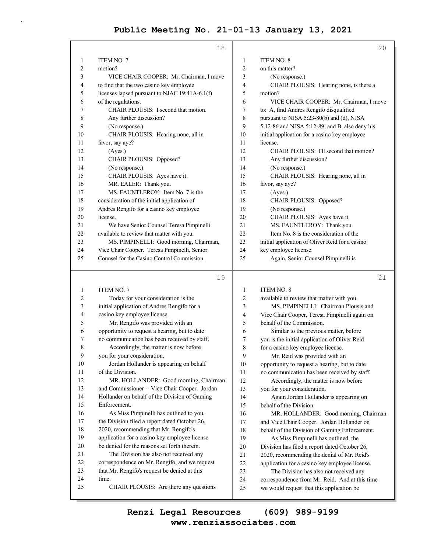|                | 18                                             |                | 20                                              |
|----------------|------------------------------------------------|----------------|-------------------------------------------------|
| 1              | ITEM NO. 7                                     | 1              | ITEM NO. 8                                      |
| $\overline{2}$ | motion?                                        | $\overline{c}$ | on this matter?                                 |
| 3              | VICE CHAIR COOPER: Mr. Chairman, I move        | 3              | (No response.)                                  |
| 4              | to find that the two casino key employee       | 4              | CHAIR PLOUSIS: Hearing none, is there a         |
| 5              | licenses lapsed pursuant to NJAC 19:41A-6.1(f) | 5              | motion?                                         |
| 6              | of the regulations.                            | 6              | VICE CHAIR COOPER: Mr. Chairman, I move         |
| 7              | CHAIR PLOUSIS: I second that motion.           | 7              | to: A, find Andres Rengifo disqualified         |
| 8              | Any further discussion?                        | 8              | pursuant to NJSA 5:23-80(b) and (d), NJSA       |
| 9              | (No response.)                                 | 9              | 5:12-86 and NJSA 5:12-89; and B, also deny his  |
| 10             | CHAIR PLOUSIS: Hearing none, all in            | 10             | initial application for a casino key employee   |
| 11             | favor, say aye?                                | 11             | license.                                        |
| 12             | (Ayes.)                                        | 12             | CHAIR PLOUSIS: I'll second that motion?         |
| 13             | CHAIR PLOUSIS: Opposed?                        | 13             | Any further discussion?                         |
| 14             | (No response.)                                 | 14             | (No response.)                                  |
| 15             | CHAIR PLOUSIS: Ayes have it.                   | 15             | CHAIR PLOUSIS: Hearing none, all in             |
| 16             | MR. EALER: Thank you.                          | 16             | favor, say aye?                                 |
| 17             | MS. FAUNTLEROY: Item No. 7 is the              | 17             | (Ayes.)                                         |
| 18             | consideration of the initial application of    | 18             | CHAIR PLOUSIS: Opposed?                         |
| 19             | Andres Rengifo for a casino key employee       | 19             | (No response.)                                  |
| 20             | license.                                       | 20             | CHAIR PLOUSIS: Ayes have it.                    |
| 21             | We have Senior Counsel Teresa Pimpinelli       | 21             | MS. FAUNTLEROY: Thank you.                      |
| 22             | available to review that matter with you.      | 22             | Item No. 8 is the consideration of the          |
| 23             | MS. PIMPINELLI: Good morning, Chairman,        | 23             | initial application of Oliver Reid for a casino |
| 24             | Vice Chair Cooper. Teresa Pimpinelli, Senior   | 24             | key employee license.                           |
| 25             | Counsel for the Casino Control Commission.     | 25             | Again, Senior Counsel Pimpinelli is             |
|                | 19                                             |                | 21                                              |
| 1              | <b>ITEM NO. 7</b>                              | 1              | <b>ITEM NO. 8</b>                               |
|                |                                                |                |                                                 |

| $\perp$        | TTEM NO. 7                                    | 1              | TTEM NO. 8                                     |
|----------------|-----------------------------------------------|----------------|------------------------------------------------|
| $\overline{2}$ | Today for your consideration is the           | 2              | available to review that matter with you.      |
| $\overline{3}$ | initial application of Andres Rengifo for a   | 3              | MS. PIMPINELLI: Chairman Plousis and           |
| $\overline{4}$ | casino key employee license.                  | $\overline{4}$ | Vice Chair Cooper, Teresa Pimpinelli again on  |
| 5              | Mr. Rengifo was provided with an              | 5              | behalf of the Commission.                      |
| 6              | opportunity to request a hearing, but to date | 6              | Similar to the previous matter, before         |
| 7              | no communication has been received by staff.  | $\overline{7}$ | you is the initial application of Oliver Reid  |
| $8\phantom{1}$ | Accordingly, the matter is now before         | 8              | for a casino key employee license.             |
| 9              | you for your consideration.                   | 9              | Mr. Reid was provided with an                  |
| 10             | Jordan Hollander is appearing on behalf       | 10             | opportunity to request a hearing, but to date  |
| 11             | of the Division.                              | 11             | no communication has been received by staff.   |
| 12             | MR. HOLLANDER: Good morning, Chairman         | 12             | Accordingly, the matter is now before          |
| 13             | and Commissioner -- Vice Chair Cooper. Jordan | 13             | you for your consideration.                    |
| 14             | Hollander on behalf of the Division of Gaming | 14             | Again Jordan Hollander is appearing on         |
| 15             | Enforcement.                                  | 15             | behalf of the Division.                        |
| 16             | As Miss Pimpinelli has outlined to you,       | 16             | MR. HOLLANDER: Good morning, Chairman          |
| 17             | the Division filed a report dated October 26, | 17             | and Vice Chair Cooper. Jordan Hollander on     |
| 18             | 2020, recommending that Mr. Rengifo's         | 18             | behalf of the Division of Gaming Enforcement.  |
| 19             | application for a casino key employee license | 19             | As Miss Pimpinelli has outlined, the           |
| 20             | be denied for the reasons set forth therein.  | 20             | Division has filed a report dated October 26,  |
| 21             | The Division has also not received any        | 21             | 2020, recommending the denial of Mr. Reid's    |
| 22             | correspondence on Mr. Rengifo, and we request | 22             | application for a casino key employee license. |
| 23             | that Mr. Rengifo's request be denied at this  | 23             | The Division has also not received any         |
| 24             | time.                                         | 24             | correspondence from Mr. Reid. And at this time |
| 25             | CHAIR PLOUSIS: Are there any questions        | 25             | we would request that this application be      |
|                |                                               |                |                                                |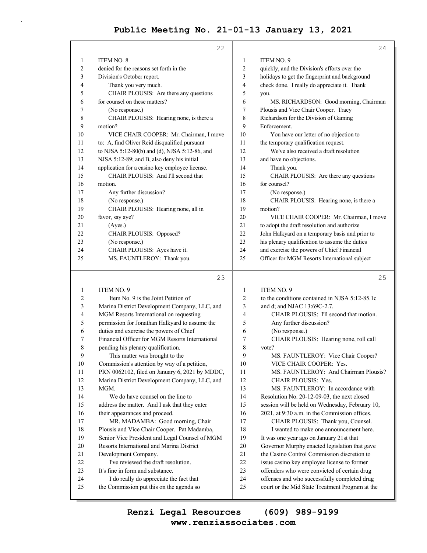|    | 22                                             |                | 24                                              |
|----|------------------------------------------------|----------------|-------------------------------------------------|
| 1  | <b>ITEM NO. 8</b>                              | 1              | ITEM NO. 9                                      |
| 2  | denied for the reasons set forth in the        | 2              | quickly, and the Division's efforts over the    |
| 3  | Division's October report.                     | 3              | holidays to get the fingerprint and background  |
| 4  | Thank you very much.                           | $\overline{4}$ | check done. I really do appreciate it. Thank    |
| 5  | CHAIR PLOUSIS: Are there any questions         | 5              | you.                                            |
| 6  | for counsel on these matters?                  | 6              | MS. RICHARDSON: Good morning, Chairman          |
| 7  | (No response.)                                 | 7              | Plousis and Vice Chair Cooper. Tracy            |
| 8  | CHAIR PLOUSIS: Hearing none, is there a        | 8              | Richardson for the Division of Gaming           |
| 9  | motion?                                        | 9              | Enforcement.                                    |
| 10 | VICE CHAIR COOPER: Mr. Chairman, I move        | 10             | You have our letter of no objection to          |
| 11 | to: A, find Oliver Reid disqualified pursuant  | 11             | the temporary qualification request.            |
| 12 | to NJSA 5:12-80(b) and (d), NJSA 5:12-86, and  | 12             | We've also received a draft resolution          |
| 13 | NJSA 5:12-89; and B, also deny his initial     | 13             | and have no objections.                         |
| 14 | application for a casino key employee license. | 14             | Thank you.                                      |
| 15 | CHAIR PLOUSIS: And I'll second that            | 15             | CHAIR PLOUSIS: Are there any questions          |
| 16 | motion.                                        | 16             | for counsel?                                    |
| 17 | Any further discussion?                        | 17             | (No response.)                                  |
| 18 | (No response.)                                 | 18             | CHAIR PLOUSIS: Hearing none, is there a         |
| 19 | CHAIR PLOUSIS: Hearing none, all in            | 19             | motion?                                         |
| 20 | favor, say aye?                                | 20             | VICE CHAIR COOPER: Mr. Chairman, I move         |
| 21 | (Ayes.)                                        | 21             | to adopt the draft resolution and authorize     |
| 22 | CHAIR PLOUSIS: Opposed?                        | 22             | John Halkyard on a temporary basis and prior to |
| 23 | (No response.)                                 | 23             | his plenary qualification to assume the duties  |
| 24 | CHAIR PLOUSIS: Ayes have it.                   | 24             | and exercise the powers of Chief Financial      |
| 25 | MS. FAUNTLEROY: Thank you.                     | 25             | Officer for MGM Resorts International subject   |
|    |                                                |                |                                                 |

### 23

25

| 1       | <b>ITEM NO. 9</b>                               | $\mathbf{1}$ | <b>ITEM NO. 9</b>                               |
|---------|-------------------------------------------------|--------------|-------------------------------------------------|
| 2       | Item No. 9 is the Joint Petition of             | 2            | to the conditions contained in NJSA 5:12-85.1c  |
| 3       | Marina District Development Company, LLC, and   | 3            | and d; and NJAC 13:69C-2.7.                     |
| 4       | MGM Resorts International on requesting         | 4            | CHAIR PLOUSIS: I'll second that motion.         |
| 5       | permission for Jonathan Halkyard to assume the  | 5            | Any further discussion?                         |
| 6       | duties and exercise the powers of Chief         | 6            | (No response.)                                  |
| 7       | Financial Officer for MGM Resorts International | 7            | CHAIR PLOUSIS: Hearing none, roll call          |
| $\,8\,$ | pending his plenary qualification.              | 8            | vote?                                           |
| 9       | This matter was brought to the                  | 9            | MS. FAUNTLEROY: Vice Chair Cooper?              |
| 10      | Commission's attention by way of a petition,    | 10           | VICE CHAIR COOPER: Yes.                         |
| 11      | PRN 0062102, filed on January 6, 2021 by MDDC,  | 11           | MS. FAUNTLEROY: And Chairman Plousis?           |
| 12      | Marina District Development Company, LLC, and   | 12           | <b>CHAIR PLOUSIS: Yes.</b>                      |
| 13      | MGM.                                            | 13           | MS. FAUNTLEROY: In accordance with              |
| 14      | We do have counsel on the line to               | 14           | Resolution No. 20-12-09-03, the next closed     |
| 15      | address the matter. And I ask that they enter   | 15           | session will be held on Wednesday, February 10, |
| 16      | their appearances and proceed.                  | 16           | 2021, at 9:30 a.m. in the Commission offices.   |
| 17      | MR. MADAMBA: Good morning, Chair                | 17           | CHAIR PLOUSIS: Thank you, Counsel.              |
| 18      | Plousis and Vice Chair Cooper. Pat Madamba,     | 18           | I wanted to make one announcement here.         |
| 19      | Senior Vice President and Legal Counsel of MGM  | 19           | It was one year ago on January 21st that        |
| 20      | Resorts International and Marina District       | 20           | Governor Murphy enacted legislation that gave   |
| 21      | Development Company.                            | 21           | the Casino Control Commission discretion to     |
| 22      | I've reviewed the draft resolution.             | 22           | issue casino key employee license to former     |
| 23      | It's fine in form and substance.                | 23           | offenders who were convicted of certain drug    |
| 24      | I do really do appreciate the fact that         | 24           | offenses and who successfully completed drug    |
| 25      | the Commission put this on the agenda so        | 25           | court or the Mid State Treatment Program at the |
|         |                                                 |              |                                                 |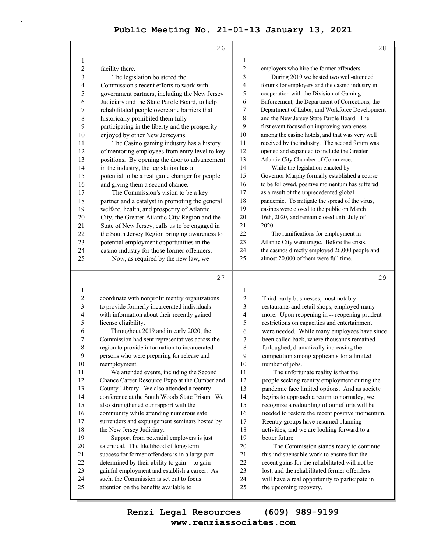|          | 26                                                                                              |                  | 28                                                                                  |
|----------|-------------------------------------------------------------------------------------------------|------------------|-------------------------------------------------------------------------------------|
| 1        |                                                                                                 | $\mathbf{1}$     |                                                                                     |
| 2        | facility there.                                                                                 | 2                | employers who hire the former offenders.                                            |
| 3        | The legislation bolstered the                                                                   | 3                | During 2019 we hosted two well-attended                                             |
| 4        | Commission's recent efforts to work with                                                        | 4                | forums for employers and the casino industry in                                     |
| 5        | government partners, including the New Jersey                                                   | 5                | cooperation with the Division of Gaming                                             |
| 6        | Judiciary and the State Parole Board, to help                                                   | 6                | Enforcement, the Department of Corrections, the                                     |
| 7        | rehabilitated people overcome barriers that                                                     | 7                | Department of Labor, and Workforce Development                                      |
| 8        | historically prohibited them fully                                                              | 8                | and the New Jersey State Parole Board. The                                          |
| 9        | participating in the liberty and the prosperity                                                 | 9                | first event focused on improving awareness                                          |
| 10       | enjoyed by other New Jerseyans.                                                                 | 10               | among the casino hotels, and that was very well                                     |
| 11       | The Casino gaming industry has a history                                                        | 11               | received by the industry. The second forum was                                      |
| 12       | of mentoring employees from entry level to key                                                  | 12               | opened and expanded to include the Greater                                          |
| 13       | positions. By opening the door to advancement                                                   | 13               | Atlantic City Chamber of Commerce.                                                  |
| 14       | in the industry, the legislation has a                                                          | 14               | While the legislation enacted by                                                    |
| 15       | potential to be a real game changer for people                                                  | 15               | Governor Murphy formally established a course                                       |
| 16       | and giving them a second chance.                                                                | 16               | to be followed, positive momentum has suffered                                      |
| 17       | The Commission's vision to be a key                                                             | 17               | as a result of the unprecedented global                                             |
| 18       | partner and a catalyst in promoting the general                                                 | 18               | pandemic. To mitigate the spread of the virus,                                      |
| 19       | welfare, health, and prosperity of Atlantic                                                     | 19               | casinos were closed to the public on March                                          |
| 20       | City, the Greater Atlantic City Region and the                                                  | 20               | 16th, 2020, and remain closed until July of                                         |
| 21       | State of New Jersey, calls us to be engaged in                                                  | 21               | 2020.                                                                               |
| 22       | the South Jersey Region bringing awareness to                                                   | 22               | The ramifications for employment in                                                 |
| 23       | potential employment opportunities in the                                                       | 23               | Atlantic City were tragic. Before the crisis,                                       |
| 24       | casino industry for those former offenders.                                                     | 24               | the casinos directly employed 26,000 people and                                     |
| 25       | Now, as required by the new law, we                                                             | 25               | almost 20,000 of them were full time.                                               |
|          |                                                                                                 |                  |                                                                                     |
|          | 27                                                                                              |                  | 29                                                                                  |
| 1        |                                                                                                 | 1                |                                                                                     |
| 2        |                                                                                                 | $\boldsymbol{2}$ |                                                                                     |
| 3        | coordinate with nonprofit reentry organizations<br>to provide formerly incarcerated individuals | 3                | Third-party businesses, most notably<br>restaurants and retail shops, employed many |
| 4        | with information about their recently gained                                                    | 4                | more. Upon reopening in -- reopening prudent                                        |
| 5        | license eligibility.                                                                            | 5                | restrictions on capacities and entertainment                                        |
| 6        | Throughout 2019 and in early 2020, the                                                          | 6                | were needed. While many employees have since                                        |
| 7        | Commission had sent representatives across the                                                  | 7                | been called back, where thousands remained                                          |
| 8        | region to provide information to incarcerated                                                   | 8                | furloughed, dramatically increasing the                                             |
| 9        | persons who were preparing for release and                                                      | 9                | competition among applicants for a limited                                          |
| 10       | reemployment.                                                                                   | 10               | number of jobs.                                                                     |
| 11       | We attended events, including the Second                                                        | 11               | The unfortunate reality is that the                                                 |
| 12       | Chance Career Resource Expo at the Cumberland                                                   | 12               | people seeking reentry employment during the                                        |
| 13       | County Library. We also attended a reentry                                                      | 13               | pandemic face limited options. And as society                                       |
| 14       | conference at the South Woods State Prison. We                                                  | 14               | begins to approach a return to normalcy, we                                         |
| 15       | also strengthened our rapport with the                                                          | 15               | recognize a redoubling of our efforts will be                                       |
| 16       | community while attending numerous safe                                                         | 16               | needed to restore the recent positive momentum.                                     |
| 17       | surrenders and expungement seminars hosted by                                                   | 17               | Reentry groups have resumed planning                                                |
| 18       | the New Jersey Judiciary.                                                                       | 18               | activities, and we are looking forward to a                                         |
| 19       | Support from potential employers is just                                                        | 19               | better future.                                                                      |
| 20       | as critical. The likelihood of long-term                                                        | $20\,$           | The Commission stands ready to continue                                             |
| 21       | success for former offenders is in a large part                                                 | 21               | this indispensable work to ensure that the                                          |
| 22       | determined by their ability to gain -- to gain                                                  | $22\,$           | recent gains for the rehabilitated will not be                                      |
| 23       | gainful employment and establish a career. As                                                   | 23               | lost, and the rehabilitated fermer offenders                                        |
| 24<br>25 | such, the Commission is set out to focus<br>attention on the benefits available to              | 24<br>25         | will have a real opportunity to participate in<br>the upcoming recovery.            |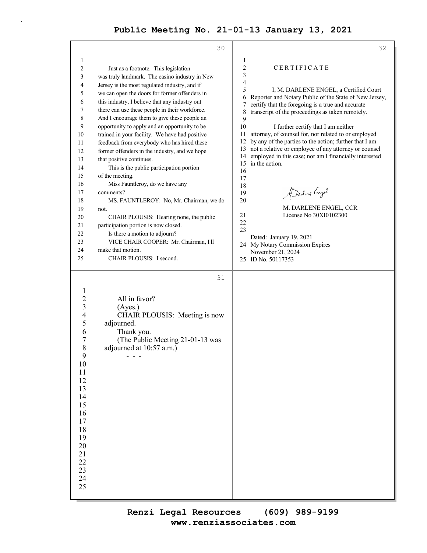| 32                                                                                                              |
|-----------------------------------------------------------------------------------------------------------------|
| 1                                                                                                               |
| $\overline{c}$<br>CERTIFICATE                                                                                   |
| $\mathfrak{Z}$                                                                                                  |
| $\overline{4}$                                                                                                  |
| 5<br>I, M. DARLENE ENGEL, a Certified Court                                                                     |
| 6<br>Reporter and Notary Public of the State of New Jersey,                                                     |
| certify that the foregoing is a true and accurate<br>7<br>transcript of the proceedings as taken remotely.<br>8 |
| 9                                                                                                               |
| $10\,$<br>I further certify that I am neither                                                                   |
| attorney, of counsel for, nor related to or employed<br>11                                                      |
| by any of the parties to the action; further that I am<br>12                                                    |
| not a relative or employee of any attorney or counsel<br>13                                                     |
| employed in this case; nor am I financially interested<br>14<br>in the action.<br>15                            |
| 16                                                                                                              |
| 17                                                                                                              |
| 18                                                                                                              |
| Marline Engel<br>19                                                                                             |
| 20                                                                                                              |
| M. DARLENE ENGEL, CCR                                                                                           |
| License No 30XI0102300<br>21<br>22                                                                              |
| 23                                                                                                              |
| Dated: January 19, 2021                                                                                         |
| 24 My Notary Commission Expires                                                                                 |
| November 21, 2024                                                                                               |
| 25 ID No. 50117353                                                                                              |
|                                                                                                                 |
|                                                                                                                 |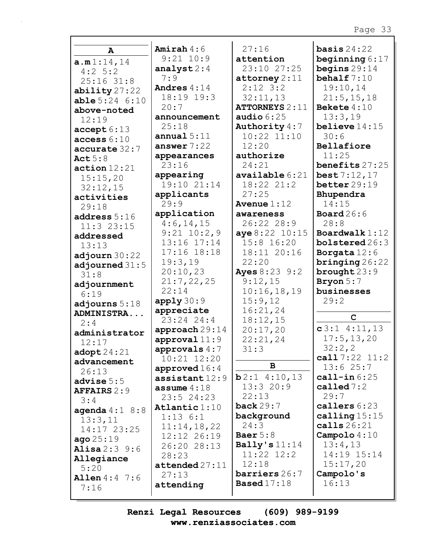| $\mathbf{A}$           | Amirah $4:6$                        | 27:16                    | basis $24:22$                   |
|------------------------|-------------------------------------|--------------------------|---------------------------------|
| a.m1:14,14             | $9:21$ $10:9$                       | attention                | beginning $6:17$                |
| $4:2 \quad 5:2$        | analyst $2:4$                       | 23:10 27:25              | begins $29:14$                  |
| $25:16$ 31:8           | 7:9                                 | $\texttt{attorney} 2:11$ | behalf $7:10$                   |
| ability $27:22$        | Andres $4:14$                       | $2:12$ 3:2               | 19:10,14                        |
| $able 5:24$ 6:10       | 18:19 19:3                          | 32:11,13                 | 21:5, 15, 18                    |
| above-noted            | 20:7                                | <b>ATTORNEYS 2:11</b>    | Bekete $4:10$                   |
| 12:19                  | announcement                        | audio $6:25$             | 13:3,19                         |
| accept 6:13            | 25:18                               | Authority 4:7            | believe $14:15$                 |
| access 6:10            | annual $5:11$                       | $10:22$ $11:10$          | 30:6                            |
| accurate 32:7          | answer $7:22$                       | 12:20                    | Bellafiore                      |
| Act $5:8$              | appearances                         | authorize                | 11:25                           |
| action 12:21           | 23:16                               | 24:21                    | benefits 27:25                  |
| 15:15,20               | appearing                           | $\alpha$ vailable $6:21$ | best7:12,17                     |
| 32:12,15               | 19:10 21:14                         | $18:22$ $21:2$           | better 29:19                    |
| activities             | applicants                          | 27:25                    | Bhupendra                       |
| 29:18                  | 29:9                                | Avenue $1:12$            | 14:15                           |
| address $5:16$         | application                         | awareness                | Board $26:6$                    |
| $11:3$ 23:15           | 4:6,14,15                           | 26:22 28:9               | 28:8                            |
| addressed              | $9:21$ $10:2,9$                     | aye 8:22 10:15           | Boardwalk $1:12$                |
| 13:13                  | 13:16 17:14                         | 15:8 16:20               | $\texttt{bold26:3}$             |
| adjourn $30:22$        | $17:16$ $18:18$                     | 18:11 20:16              | Borgata $12:6$                  |
| adjourned $31:5$       | 19:3,19                             | 22:20                    | $\frac{\text{bringing}}{26:22}$ |
| 31:8                   | 20:10,23                            | <b>Ayes</b> $8:23$ 9:2   | brought $23:9$                  |
| adjournment            | 21:7,22,25                          | 9:12,15                  | Bryon $5:7$                     |
| 6:19                   | 22:14                               | 10:16,18,19              | businesses                      |
| adjourns $5:18$        | apply30:9                           | 15:9,12                  | 29:2                            |
| ADMINISTRA             | appreciate                          | 16:21,24                 |                                 |
| 2:4                    | 23:24 24:4                          | 18:12,15                 | $\mathbf C$                     |
| administrator          | approach 29:14                      | 20:17,20                 | $c3:1$ 4:11, 13                 |
| 12:17                  | approval $11:9$                     | 22:21,24                 | 17:5, 13, 20                    |
| $\texttt{adopt24:21}$  | approvals $4:7$                     | 31:3                     | 32:2,2                          |
| advancement            | $10:21$ $12:20$                     |                          | call $7:22$ $11:2$              |
| 26:13                  | approved 16:4                       | B                        | 13:625:7                        |
| advise $5:5$           | assistant $12:9$                    | $b2:1$ 4:10,13           | call-in $6:25$                  |
| <b>AFFAIRS 2:9</b>     | assume $4:18$                       | 13:320:9                 | called $7:2$                    |
| 3:4                    | $23:5$ 24:23                        | 22:13                    | 29:7                            |
| agenda $4:1$ $8:8$     | Atlantic $1:10$                     | back $29:7$              | callers 6:23                    |
| 13:3,11                | $1:13$ 6:1                          | background               | calling $15:15$                 |
| 14:17 23:25            | 11:14,18,22                         | 24:3                     | calls $26:21$                   |
| ago25:19               | 12:12 26:19                         | Baer $5:8$               | Campolo $4:10$                  |
| Alisa $2:3$ $9:6$      | 26:20 28:13                         | Bally's $11:14$          | 13:4,13                         |
| Allegiance             | 28:23                               | $11:22$ $12:2$           | 14:19 15:14                     |
| 5:20                   | ${\small \texttt{attended} } 27:11$ | 12:18                    | 15:17,20                        |
| <b>Allen</b> $4:4$ 7:6 | 27:13                               | barriers 26:7            | Campolo's                       |
| 7:16                   | attending                           | <b>Based</b> 17:18       | 16:13                           |
|                        |                                     |                          |                                 |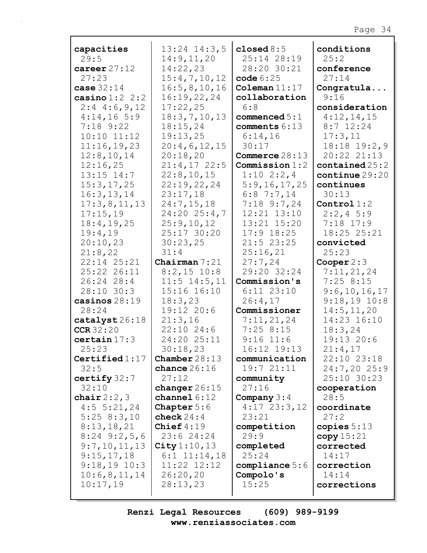| capacities            | $13:24$ $14:3,5$        | closed $8:5$               | conditions                   |
|-----------------------|-------------------------|----------------------------|------------------------------|
| 29:5                  | 14:9, 11, 20            | 25:14 28:19                | 25:2                         |
| career $27:12$        | 14:22,23                | 28:20 30:21                | conference                   |
| 27:23                 | 15:4,7,10,12            | code 6:25                  | 27:14                        |
| case $32:14$          | 16:5, 8, 10, 16         | Coleman $11:17$            | Congratula                   |
| casino $1:2$ 2:2      | 16:19,22,24             | collaboration              | 9:16                         |
| $2:4$ 4:6, 9, 12      | 17:22,25                | 6:8                        | consideration                |
| 4:14,165:9            | 18:3,7,10,13            | commenced $5:1$            | 4:12,14,15                   |
| $7:18$ 9:22           | 18:15,24                | comments 6:13              | $8:7$ 12:24                  |
| $10:10$ $11:12$       | 19:13,25                | 6:14,16                    | 17:3,11                      |
| 11:16,19,23           | 20:4,6,12,15            | 30:17                      | 18:18 19:2,9                 |
| 12:8, 10, 14          | 20:18,20                | Commerce $28:13$           | 20:22 21:13                  |
| 12:16,25              | $21:4,17$ 22:5          | Commission 1:2             | $\texttt{contained} \, 25:2$ |
| $13:15$ $14:7$        | 22:8, 10, 15            | $1:10 \ 2:2,4$             | continue 29:20               |
| 15:3, 17, 25          | 22:19,22,24             | 5:9,16,17,25               | continues                    |
| 16:3, 13, 14          | 23:17,18                | $6:8$ 7:7,14               | 30:13                        |
| 17:3,8,11,13          | 24:7,15,18              | $7:18$ 9:7,24              | Control $1:2$                |
| 17:15,19              | $24:20$ $25:4,7$        | 12:21 13:10                | $2:2,4$ 5:9                  |
| 18:4, 19, 25          | 25:9,10,12              | 13:21 15:20                | $7:18$ 17:9                  |
| 19:4,19               | 25:17 30:20             | $17:9$ $18:25$             | 18:25 25:21                  |
| 20:10,23              | 30:23,25                | $21:5$ 23:25               | convicted                    |
| 21:8,22               | 31:4                    | 25:16,21                   | 25:23                        |
| 22:14 25:21           | Chairman $7:21$         | 27:7,24                    | Cooper $2:3$                 |
| 25:22 26:11           | $8:2,15$ 10:8           | 29:20 32:24                | 7:11,21,24                   |
| 26:24 28:4            | $11:5$ $14:5$ , $11$    | Commission's               | $7:25$ 8:15                  |
| 28:10 30:3            | 15:16 16:10             | $6:11$ $23:10$             | 9:6, 10, 16, 17              |
| casinos $28:19$       | 18:3,23                 | 26:4,17                    | $9:18,19$ $10:8$             |
| 28:24                 | 19:12 20:6              | Commissioner               | 14:5, 11, 20                 |
| catalyst 26:18        | 21:3,16                 | 7:11,21,24                 | 14:23 16:10                  |
| CCR32:20              | 22:10 24:6              | $7:25$ 8:15                | 18:3,24                      |
| certain 17:3<br>25:23 | 24:20 25:11<br>30:18,23 | $9:16$ 11:6<br>16:12 19:13 | 19:13 20:6                   |
| Certified $1:17$      | Chamber $28:13$         | communication              | 21:4,17<br>22:10 23:18       |
| 32:5                  | chance $26:16$          | 19:721:11                  | 24:7,2025:9                  |
| certify $32:7$        | 27:12                   | community                  | 25:10 30:23                  |
| 32:10                 | changer $26:15$         | 27:16                      | cooperation                  |
| chair $2:2,3$         | channel $6:12$          | Company $3:4$              | 28:5                         |
| $4:5 \t5:21,24$       | Chapter $5:6$           | $4:17$ 23:3, 12            | coordinate                   |
| 5:258:3,10            | check $24:4$            | 23:21                      | 27:2                         |
| 8:13,18,21            | Chief $4:19$            | competition                | copies $5:13$                |
| $8:24$ 9:2,5,6        | 23:6 24:24              | 29:9                       | copy 15:21                   |
| 9:7,10,11,13          | City $1:10, 13$         | completed                  | corrected                    |
| 9:15,17,18            | $6:1$ $11:14,18$        | 25:24                      | 14:17                        |
| $9:18,19$ 10:3        | 11:22 12:12             | compliance $5:6$           | correction                   |
| 10:6,8,11,14          | 26:20,20                | Compolo's                  | 14:14                        |
| 10:17,19              | 28:13,23                | 15:25                      | corrections                  |
|                       |                         |                            |                              |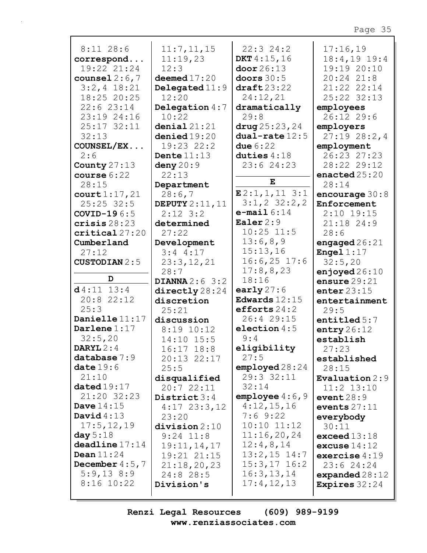| $8:11$ 28:6          |                        |                       |                        |
|----------------------|------------------------|-----------------------|------------------------|
|                      | 11:7, 11, 15           | 22:324:2              | 17:16,19               |
| correspond           | 11:19,23               | DKT $4:15,16$         | $18:4, 19$ 19:4        |
| 19:22 21:24          | 12:3                   | door 26:13            | 19:19 20:10            |
| counsel $2:6,7$      | deemed $17:20$         | doors $30:5$          | $20:24$ $21:8$         |
| $3:2,4$ 18:21        | Delegated $11:9$       | $\texttt{draff}23:22$ | 21:22 22:14            |
| 18:25 20:25          | 12:20                  | 24:12,21              | 25:22 32:13            |
| 22:623:14            | Delegation $4:7$       | dramatically          | employees              |
| 23:19 24:16          | 10:22                  | 29:8                  | 26:12 29:6             |
| 25:17 32:11          | denial21:21            | $\arg 25:23,24$       | employers              |
| 32:13                | denied19:20            | $dual$ -rate $12:5$   | 27:1928:2.4            |
| COUNSEL/EX           | 19:23 22:2             | due $6:22$            | employment             |
| 2:6                  | Dente $11:13$          | duties $4:18$         | 26:23 27:23            |
| County $27:13$       | deny $20:9$            | 23:6 24:23            | 28:22 29:12            |
| course $6:22$        | 22:13                  |                       | enacted $25:20$        |
| 28:15                | Department             | Е                     | 28:14                  |
| court 1:17,21        | 28:6,7                 | $E2:1, 1, 11$ 3:1     | encourage $30:8$       |
| $25:25$ 32:5         | <b>DEPUTY</b> 2:11, 11 | $3:1,2$ $32:2,2$      | Enforcement            |
| <b>COVID-196:5</b>   | $2:12$ 3:2             | $e$ -mail $6:14$      | $2:10$ 19:15           |
| crisis 28:23         | determined             | Ealer $2:9$           | $21:18$ 24:9           |
| critical27:20        | 27:22                  | $10:25$ $11:5$        | 28:6                   |
| Cumberland           | Development            | 13:6,8,9              | engaged $26:21$        |
| 27:12                | $3:4$ 4:17             | 15:13,16              | Engel $1:17$           |
| <b>CUSTODIAN 2:5</b> | 23:3,12,21             | $16:6,25$ 17:6        | 32:5,20                |
|                      | 28:7                   | 17:8,8,23             | enjoyed $26:10$        |
| D                    | DIANNA $2:6$ 3:2       | 18:16                 | ensure $29:21$         |
| $d4:11$ 13:4         | directly 28:24         | early $27:6$          | enter $23:15$          |
| $20:8$ 22:12         |                        |                       |                        |
|                      |                        |                       |                        |
|                      | discretion             | Edwards $12:15$       | entertainment          |
| 25:3                 | 25:21                  | efforts $24:2$        | 29:5                   |
| Danielle 11:17       | discussion             | 26:4 29:15            | entitled $5:7$         |
| Darlene $1:17$       | $8:19$ 10:12           | election $4:5$        | entry $26:12$          |
| 32:5,20              | $14:10$ $15:5$         | 9:4                   | establish              |
| DARYL $2:4$          | 16:17 18:8             | eligibility           | 27:23                  |
| database $7:9$       | 20:13 22:17            | 27:5                  | established            |
| date19:6             | 25:5                   | employd 28:24         | 28:15                  |
| 21:10                | disqualified           | 29:3 32:11            | Evaluation $2:9$       |
| dataed19:17          | 20:722:11              | 32:14                 | $11:2$ $13:10$         |
| 21:20 32:23          | District $3:4$         | employee $4:6$ , 9    | event $28:9$           |
| Dave $14:15$         | $4:17$ 23:3, 12        | 4:12,15,16            | events $27:11$         |
| David $4:13$         | 23:20                  | 7:69:22               | everybody              |
| 17:5, 12, 19         | division 2:10          | $10:10$ $11:12$       | 30:11                  |
| day $5:18$           | $9:24$ 11:8            | 11:16,20,24           | exceed $13:18$         |
| deadline 17:14       | 19:11,14,17            | 12:4,8,14             | excuse $14:12$         |
| Dean $11:24$         | 19:21 21:15            | $13:2,15$ 14:7        | exercise $4:19$        |
| December $4:5$ , 7   | 21:18,20,23            | $15:3, 17$ 16:2       | 23:624:24              |
| 5:9,138:9            | 24:8 28:5              | 16:3, 13, 14          | expanded $28:12$       |
| $8:16$ 10:22         | Division's             | 17:4,12,13            | <b>Expires</b> $32:24$ |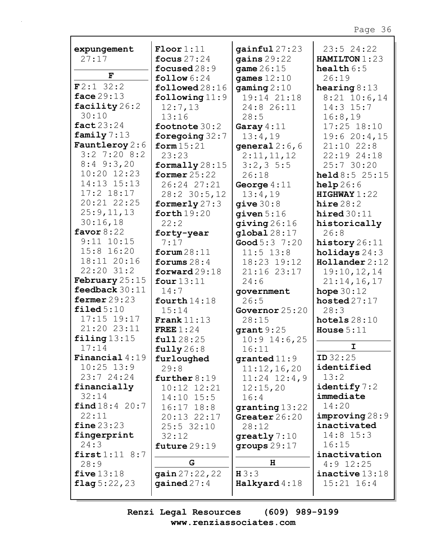| expungement             | $\text{Floor}1:11$     | gainful27:23         | 23:524:22              |
|-------------------------|------------------------|----------------------|------------------------|
| 27:17                   | focus $27:24$          | gains $29:22$        | HAMILTON 1:23          |
|                         | focused $28:9$         | game $26:15$         | health $6:5$           |
| F                       | $\texttt{follow} 6:24$ | games $12:10$        | 26:19                  |
| F2:132:2                | followed 28:16         | $\gamma$ qaming 2:10 | hearing $8:13$         |
| face $29:13$            | following $11:9$       | 19:14 21:18          | $8:21$ 10:6,14         |
| facility 26:2           | 12:7,13                | 24:8 26:11           | $14:3$ $15:7$          |
| 30:10                   | 13:16                  | 28:5                 | 16:8,19                |
| fact $23:24$            | footnote 30:2          | Garay $4:11$         | $17:25$ $18:10$        |
| family $7:13$           | foregoing $32:7$       | 13:4,19              | 19:620:4,15            |
| <b>Fauntleroy</b> $2:6$ | form $15:21$           | general $2:6$ , 6    | $21:10$ $22:8$         |
| $3:2$ 7:20 8:2          | 23:23                  | 2:11,11,12           | 22:19 24:18            |
| $8:4$ 9:3,20            | formally $28:15$       | $3:2,3 \; 5:5$       | 25:7 30:20             |
| 10:20 12:23             | former $25:22$         | 26:18                | held8:525:15           |
| 14:13 15:13             | 26:24 27:21            | George $4:11$        | help26:6               |
| $17:2$ $18:17$          | 28:2 30:5,12           | 13:4,19              | HIGHWAY 1:22           |
| 20:21 22:25             | formerly $27:3$        | qive 30:8            | hire28:2               |
| 25:9,11,13              | forth $19:20$          | $q$ iven $5:16$      | hired $30:11$          |
| 30:16,18                | 22:2                   | giving $26:16$       | historically           |
| favor $8:22$            | forty-year             | $q$ lobal $28:17$    | 26:8                   |
| $9:11$ $10:15$          | 7:17                   | Good $5:3$ $7:20$    | history 26:11          |
| 15:8 16:20              | forum $28:11$          | $11:5$ 13:8          | holidays $24:3$        |
| 18:11 20:16             | forums $28:4$          | 18:23 19:12          | $H$ ollander 2:12      |
| 22:20 31:2              | forward $29:18$        | 21:16 23:17          |                        |
| February $25:15$        | four $13:11$           |                      | 19:10,12,14            |
| feedback 30:11          | 14:7                   | 24:6                 | 21:14,16,17            |
| fermer $29:23$          |                        | government<br>26:5   | hope $30:12$           |
| $\texttt{filed}~5:10$   | fourth $14:18$         |                      | hosted $27:17$<br>28:3 |
| 17:15 19:17             | 15:14<br>Frank $11:13$ | Governor $25:20$     |                        |
| 21:20 23:11             |                        | 28:15                | hotels $28:10$         |
| filing $13:15$          | FREE $1:24$            | $grant9:25$          | House $5:11$           |
| 17:14                   | full 28:25             | $10:9$ 14:6,25       | I.                     |
| Financial $4:19$        | fully26:8              | 16:11                | ID32:25                |
| $10:25$ 13:9            | furloughed             | granted $11:9$       | identified             |
| 23:724:24               | 29:8                   | 11:12,16,20          | 13:2                   |
|                         | further $8:19$         | $11:24$ $12:4$ , 9   |                        |
| financially             | 10:12 12:21            | 12:15,20             | identify $7:2$         |
| 32:14                   | $14:10$ $15:5$         | 16:4                 | immediate              |
| find 18:4 20:7          | $16:17$ $18:8$         | granting 13:22       | 14:20                  |
| 22:11                   | 20:13 22:17            | Greater $26:20$      | improving 28:9         |
| fine 23:23              | $25:5$ 32:10           | 28:12                | inactivated            |
| fingerprint             | 32:12                  | greatly $7:10$       | $14:8$ 15:3            |
| 24:3                    | future $29:19$         | groups $29:17$       | 16:15                  |
| first1:11 8:7           | G                      | H                    | inactivation           |
| 28:9                    |                        |                      | $4:9$ 12:25            |
| five $13:18$            | gain 27:22,22          | H3:3                 | inactive 13:18         |
| flag $5:22,23$          | gained $27:4$          | Halkyard 4:18        | $15:21$ $16:4$         |
|                         |                        |                      |                        |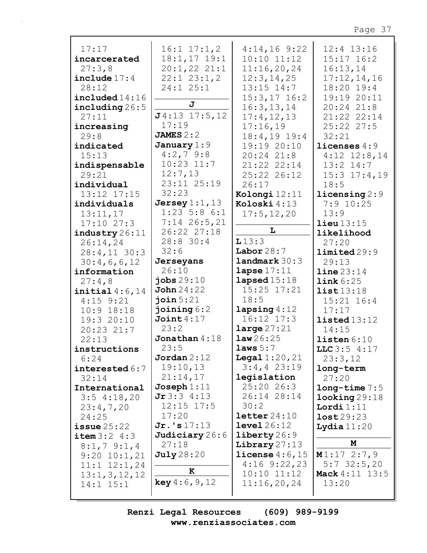| 17:17                     | $16:1$ $17:1,2$              | $4:14,16$ 9:22                 | 12:4 13:16               |
|---------------------------|------------------------------|--------------------------------|--------------------------|
| incarcerated              | $18:1, 17$ 19:1              | $10:10$ $11:12$                | $15:17$ $16:2$           |
| 27:3,8                    | $20:1,22$ $21:1$             | 11:16,20,24                    | 16:13,14                 |
| include $17:4$            | $22:1$ $23:1,2$              | 12:3, 14, 25                   | 17:12,14,16              |
| 28:12                     | $24:1$ $25:1$                | $13:15$ $14:7$                 | 18:20 19:4               |
| $\texttt{included} 14:16$ | J                            | $15:3, 17$ 16:2                | 19:19 20:11              |
| including $26:5$          | $J4:13$ 17:5,12              | 16:3, 13, 14                   | $20:24$ $21:8$           |
| 27:11                     | 17:19                        | 17:4, 12, 13                   | 21:22 22:14              |
| increasing                |                              | 17:16,19                       | 25:22 27:5               |
| 29:8                      | JAMES $2:2$                  | $18:4, 19$ 19:4                | 32:21                    |
| indicated                 | January $1:9$<br>$4:2,7$ 9:8 | 19:19 20:10                    | licenses $4:9$           |
| 15:13                     |                              | 20:24 21:8                     | $4:12$ $12:8,14$         |
| indispensable             | $10:23$ $11:7$               | 21:22 22:14                    | $13:2$ $14:7$            |
| 29:21                     | 12:7,13                      | 25:22 26:12                    | $15:3$ $17:4$ , 19       |
| individual                | 23:11 25:19                  | 26:17                          | 18:5                     |
| 13:12 17:15               | 32:23                        | Kolongi 12:11                  | $licensing 2:9$          |
| individuals               | Jersey $1:1$ , $13$          | Koloski 4:13                   | $7:9$ 10:25              |
| 13:11,17                  | $1:23$ 5:8 6:1               | 17:5, 12, 20                   | 13:9                     |
| 17:1027:3                 | $7:14$ 26:5,21               | L                              | lieu13:15                |
| industry 26:11            | 26:22 27:18                  |                                | likelihood               |
| 26:14,24                  | 28:8 30:4                    | L13:3                          | 27:20                    |
| $28:4,11$ 30:3            | 32:6                         | Labor $28:7$                   | limited 29:9             |
| 30:4,6,6,12               | Jerseyans                    | landmark 30:3<br>lapse $17:11$ | 29:13                    |
| information               | 26:10                        |                                | $\text{line }23:14$      |
|                           |                              |                                |                          |
| 27:4,8                    | jobs $29:10$                 | $l$ apsed $15:18$              | link 6:25                |
| initial $4:6,14$          | $\text{John } 24:22$         | 15:25 17:21                    | list13:18                |
| $4:15$ $9:21$             | join $5:21$                  | 18:5                           | $15:21$ $16:4$           |
| $10:9$ 18:18              | joining $6:2$                | lapsing4:12                    | 17:17                    |
| 19:3 20:10                | Joint $4:17$                 | $16:12$ $17:3$                 | listed13:12              |
| 20:23 21:7                | 23:2                         | large $27:21$                  | 14:15                    |
| 22:13                     | Jonathan $4:18$              | law26:25                       | listen 6:10              |
| instructions              | 23:5                         | laws 5:7                       | LLC3:54:17               |
| 6:24                      | Jordan $2:12$                | <b>Legal</b> $1:20,21$         | 23:3,12                  |
| interested $6:7$          | 19:10,13                     | $3:4,4$ 23:19                  | long-term                |
| 32:14                     | 21:14,17                     | legislation                    | 27:20                    |
| International             | Joseph 1:11                  | $25:20$ 26:3                   | $long-time 7:5$          |
| $3:5$ 4:18,20             | Jr3:34:13                    | 26:14 28:14                    | $\texttt{looking} 29:18$ |
| 23:4,7,20                 | $12:15$ $17:5$               | 30:2                           | Lordi 1:11               |
| 24:25                     | 17:20                        | $\texttt{letter}\,24\!:\!10$   | lost29:23                |
| $i$ ssue $25:22$          | $Jr.$ 's $17:13$             | $level\,26:12$                 | Lydia $11:20$            |
| item 3:2 4:3              | Judiciary 26:6               | $\text{library } 26:9$         |                          |
| $8:1,7$ 9:1,4             | 27:18                        | Library $27:13$                | M                        |
| $9:20$ $10:1,21$          | <b>July</b> 28:20            | license $4:6$ , 15             | M1:172:7,9               |
| $11:1$ $12:1$ , 24        | ĸ                            | $4:16$ 9:22,23                 | $5:7$ 32:5,20            |
| 13:1,3,12,12              |                              | $10:10$ $11:12$                | <b>Mack</b> 4:11 13:5    |
| $14:1$ $15:1$             | <b>key</b> $4:6, 9, 12$      | 11:16,20,24                    | 13:20                    |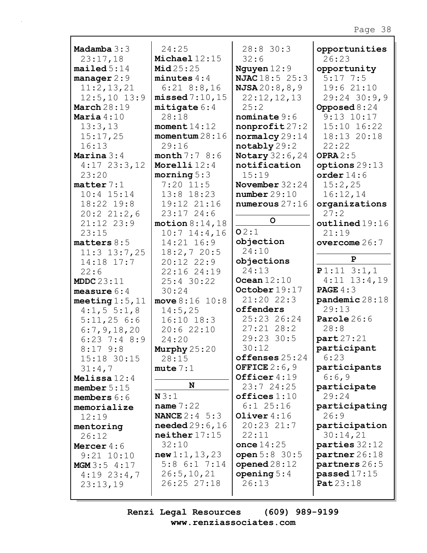| Madamba $3:3$         | 24:25                    | 28:8 30:3                | opportunities         |
|-----------------------|--------------------------|--------------------------|-----------------------|
| 23:17,18              | Michael $12:15$          | 32:6                     | 26:23                 |
| mailed 5:14           | Mid25:25                 | Nguyen $12:9$            | opportunity           |
| manager $2:9$         | minutes $4:4$            | <b>NJAC</b> 18:5 25:3    | $5:17$ 7:5            |
| 11:2,13,21            | $6:21$ $8:8,16$          | <b>NJSA</b> 20:8,8,9     | 19:621:10             |
| $12:5,10$ 13:9        | missed 7:10, 15          | 22:12,12,13              | $29:24$ 30:9,9        |
| March $28:19$         | mitigate 6:4             | 25:2                     | Opposed $8:24$        |
| Maria $4:10$          | 28:18                    | $n$ ominate 9:6          | $9:13$ $10:17$        |
| 13:3,13               | moment $14:12$           | nonprofit27:2            | 15:10 16:22           |
| 15:17,25              | momentum 28:16           | normalcy 29:14           | 18:13 20:18           |
| 16:13                 | 29:16                    | notably 29:2             | 22:22                 |
| Marina $3:4$          | <b>month</b> $7:78:6$    | <b>Notary</b> $32:6, 24$ | OPRA $2:5$            |
|                       |                          |                          |                       |
| $4:17$ 23:3, 12       | Morelli $12:4$           | notification             | options 29:13         |
| 23:20                 | morning $5:3$            | 15:19                    | order $14:6$          |
| $\texttt{matter}$ 7:1 | $7:20$ 11:5              | November $32:24$         | 15:2,25               |
| $10:4$ $15:14$        | 13:8 18:23               | number29:10              | 16:12,14              |
| 18:22 19:8            | 19:12 21:16              | numerous $27:16$         | organizations         |
| 20:221:2,6            | $23:17$ 24:6             |                          | 27:2                  |
| $21:12$ $23:9$        | motion 8:14,18           | $\circ$                  | outlined19:16         |
| 23:15                 | $10:7$ 14:4,16           | O2:1                     | 21:19                 |
| matters $8:5$         | 14:21 16:9               | objection                | overcome $26:7$       |
| $11:3$ 13:7,25        | 18:2,720:5               | 24:10                    |                       |
| 14:18 17:7            | $20:12$ $22:9$           | objections               | $\mathbf{P}$          |
| 22:6                  | 22:16 24:19              | 24:13                    | $P1:11$ 3:1,1         |
| MDDC $23:11$          | 25:4 30:22               | Ocean $12:10$            | $4:11$ $13:4,19$      |
| measure $6:4$         | 30:24                    | October 19:17            | <b>PAGE</b> $4:3$     |
| meeting $1:5$ , $11$  | move $8:16$ $10:8$       | $21:20$ 22:3             | pandemic 28:18        |
| $4:1, 5 \t5:1, 8$     | 14:5,25                  | offenders                | 29:13                 |
| 5:11,256:6            | $16:10$ $18:3$           | 25:23 26:24              | Parole $26:6$         |
| 6:7,9,18,20           | 20:622:10                | $27:21$ $28:2$           | 28:8                  |
| $6:23$ 7:4 8:9        | 24:20                    | 29:23 30:5               | part27:21             |
|                       |                          | 30:12                    | participant           |
| $8:17$ $9:8$          | Murphy 25:20             | offenses 25:24           | 6:23                  |
| 15:18 30:15           | 28:15                    | OFFICE $2:6,9$           |                       |
| 31:4,7                | mute 7:1                 | Officer 4:19             | participants<br>6:6,9 |
| Melissa $12:4$        | N                        |                          |                       |
| member $5:15$         |                          | 23:7 24:25               | participate           |
| members $6:6$         | N3:1                     | offices 1:10             | 29:24                 |
| memorialize           | name $7:22$              | $6:1$ 25:16              | participating         |
| 12:19                 | <b>NANCE</b> $2:4 \ 5:3$ | Oliver $4:16$            | 26:9                  |
| mentoring             | <b>needed</b> $29:6,16$  | 20:23 21:7               | participation         |
| 26:12                 | neither 17:15            | 22:11                    | 30:14,21              |
| Mercer $4:6$          | 32:10                    | once $14:25$             | parties 32:12         |
| $9:21$ $10:10$        | new 1:1, 13, 23          | open $5:8$ 30:5          | partner 26:18         |
| MGM 3:5 4:17          | $5:8$ 6:1 7:14           | opened $28:12$           | partners 26:5         |
| $4:19$ 23:4,7         | 26:5, 10, 21             | opening $5:4$            | passed $17:15$        |
| 23:13,19              | 26:25 27:18              | 26:13                    | Pat 23:18             |
|                       |                          |                          |                       |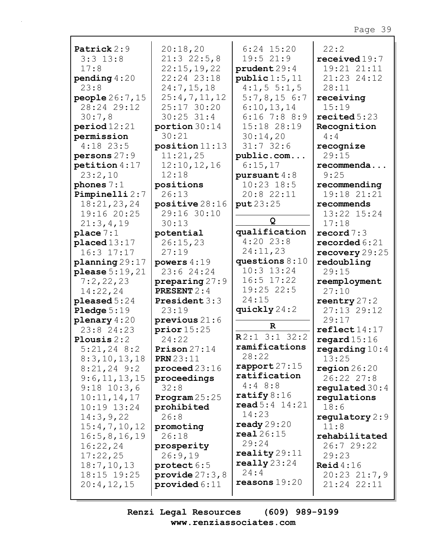| Patrick 2:9          | 20:18,20                 | $6:24$ 15:20              | 22:2                    |
|----------------------|--------------------------|---------------------------|-------------------------|
| $3:3$ 13:8           | 21:322:5,8               | 19:521:9                  | received19:7            |
| 17:8                 | 22:15,19,22              | prudent 29:4              | 19:21 21:11             |
| pending $4:20$       | 22:24 23:18              | public 1:5, 11            | 21:23 24:12             |
| 23:8                 | 24:7,15,18               | $4:1, 5 \t5:1, 5$         | 28:11                   |
|                      |                          | 5:7,8,156:7               |                         |
| people 26:7, 15      | 25:4,7,11,12             |                           | receiving               |
| 28:24 29:12          | 25:17 30:20              | 6:10,13,14                | 15:19                   |
| 30:7,8               | $30:25$ 31:4             | $6:16$ 7:8 8:9            | recited 5:23            |
| period 12:21         | portion $30:14$          | 15:18 28:19               | Recognition             |
| permission           | 30:21                    | 30:14,20                  | 4:4                     |
| $4:18$ 23:5          | position 11:13           | $31:7$ 32:6               | recognize               |
| persons $27:9$       | 11:21,25                 | public.com                | 29:15                   |
| petition $4:17$      | 12:10, 12, 16            | 6:15,17                   | recommenda              |
| 23:2,10              | 12:18                    | pursuant $4:8$            | 9:25                    |
|                      |                          |                           |                         |
| phones $7:1$         | positions                | $10:23$ 18:5              | recommending            |
| Pimpinelli 2:7       | 26:13                    | 20:8 22:11                | 19:18 21:21             |
| 18:21,23,24          | positive 28:16           | put23:25                  | recommends              |
| 19:16 20:25          | 29:16 30:10              |                           | 13:22 15:24             |
| 21:3,4,19            | 30:13                    | Q                         | 17:18                   |
| place $7:1$          | potential                | qualification             | record $7:3$            |
| placed 13:17         | 26:15,23                 | $4:20$ 23:8               | recorded $6:21$         |
| 16:3 17:17           | 27:19                    | 24:11,23                  | recovery $29:25$        |
| planning 29:17       | powers $4:19$            | questions $8:10$          | redoubling              |
| $please 5:19,21$     | 23:6 24:24               | $10:3$ $13:24$            | 29:15                   |
|                      |                          | $16:5$ $17:22$            |                         |
| 7:2,22,23            | preparing $27:9$         |                           | reemployment            |
| 14:22,24             | <b>PRESENT 2:4</b>       | 19:25 22:5                | 27:10                   |
| pleased $5:24$       | <b>President</b> 3:3     | 24:15                     | reentry $27:2$          |
| <b>Pledge</b> $5:19$ | 23:19                    | quickly $24:2$            | 27:13 29:12             |
| plenary $4:20$       | previous $21:6$          |                           | 29:17                   |
| $23:8$ 24:23         | prior15:25               | $\mathbf R$               | $\texttt{reflect14:17}$ |
| Plousis $2:2$        | 24:22                    | $R2:1$ 3:1 32:2           | regard $15:16$          |
| $5:21,24$ 8:2        | Prison $27:14$           | ramifications             | regarding $10:4$        |
| 8:3,10,13,18         | <b>PRN</b> 23:11         | 28:22                     | 13:25                   |
| $8:21,24$ 9:2        | $\mathbf{proceed 23:}16$ | rapport $27:15$           | region $26:20$          |
| 9:6, 11, 13, 15      |                          | ratification              | 26:22 27:8              |
|                      | proceedings              | $4:4$ 8:8                 |                         |
| $9:18$ $10:3,6$      | 32:8                     | ratify $8:16$             | regulated $30:4$        |
| 10:11,14,17          | Program $25:25$          | $\texttt{read} 5:4 14:21$ | regulations             |
| 10:19 13:24          | prohibited               |                           | 18:6                    |
| 14:3,9,22            | 26:8                     | 14:23                     | regulatory $2:9$        |
| 15:4,7,10,12         | promoting                | ready $29:20$             | 11:8                    |
| 16:5, 8, 16, 19      | 26:18                    | real26:15                 | rehabilitated           |
| 16:22,24             | prosperity               | 29:24                     | 26:729:22               |
| 17:22,25             | 26:9,19                  | reality $29:11$           | 29:23                   |
| 18:7, 10, 13         | protect 6:5              | really $23:24$            | $\text{Reid } 4:16$     |
| 18:15 19:25          | provide $27:3,8$         | 24:4                      | $20:23$ $21:7,9$        |
|                      |                          | reasons $19:20$           |                         |
| 20:4,12,15           | provided $6:11$          |                           | 21:24 22:11             |
|                      |                          |                           |                         |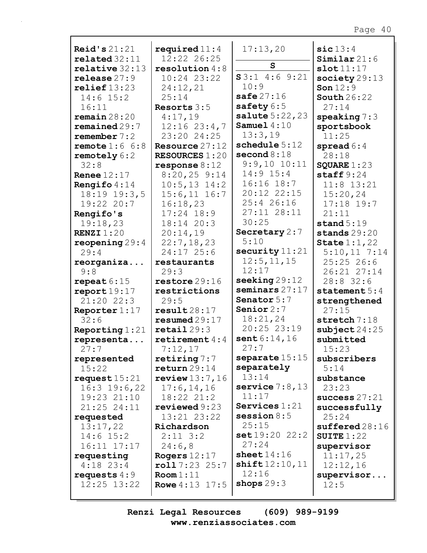| Reid's $21:21$                | required $11:4$               | 17:13,20                       | $\texttt{sic}13:4$       |
|-------------------------------|-------------------------------|--------------------------------|--------------------------|
| related 32:11                 | 12:22 26:25                   |                                | $Similar\,21:6$          |
| relative 32:13                | resolution $4:8$              | $\mathbf{s}$                   | slot11:17                |
| release 27:9                  | 10:24 23:22                   | $S3:1$ 4:6 9:21                | society $29:13$          |
| relief13:23                   | 24:12,21                      | 10:9                           | Son $12:9$               |
| $14:6$ 15:2                   | 25:14                         | safe $27:16$                   | South $26:22$            |
| 16:11                         | Resorts $3:5$                 | safety 6:5                     | 27:14                    |
| $r$ emain $28:20$             | 4:17,19                       | <b>salute</b> $5:22,23$        | speaking $7:3$           |
| remained29:7                  | $12:16$ $23:4,7$              | Samuel $4:10$                  | sportsbook               |
| remember $7:2$                | 23:20 24:25                   | 13:3,19                        | 11:25                    |
| remote $1:6$ $6:8$            | Resource $27:12$              | schedule 5:12                  | spread $6:4$             |
| remotely $6:2$                | <b>RESOURCES 1:20</b>         | second $8:18$                  | 28:18                    |
| 32:8                          | $response 8:12$               | $9:9,10$ $10:11$               | SQUARE $1:23$            |
| Renee $12:17$                 | $8:20,25$ 9:14                | $14:9$ $15:4$                  | staff $9:24$             |
| Rengifo $4:14$                | $10:5, 13$ $14:2$             | $16:16$ $18:7$                 | $11:8$ 13:21             |
| $18:19$ $19:3,5$              | $15:6, 11$ $16:7$             | 20:12 22:15                    | 15:20,24                 |
| 19:22 20:7                    | 16:18,23                      | 25:4 26:16                     | $17:18$ 19:7             |
| Rengifo's                     | $17:24$ $18:9$                | 27:11 28:11                    | 21:11                    |
| 19:18,23                      | 18:14 20:3                    | 30:25                          | stand $5:19$             |
| <b>RENZI</b> $1:20$           | 20:14,19                      | Secretary 2:7                  | stands $29:20$           |
| reopening $29:4$              | 22:7,18,23                    | 5:10                           | State $1:1,22$           |
| 29:4                          | 24:17 25:6                    | security $11:21$               | $5:10,11$ 7:14           |
| reorganiza                    | restaurants                   | 12:5, 11, 15<br>12:17          | 25:2526:6                |
| 9:8                           | 29:3                          | $\texttt{seeking} 29:12$       | 26:21 27:14<br>28:8 32:6 |
| repeat $6:15$<br>report19:17  | restore 29:16<br>restrictions | seminars $27:17$               | statement $5:4$          |
| 21:20 22:3                    | 29:5                          | Senator 5:7                    | strengthened             |
| Reporter $1:17$               | result28:17                   | Senior $2:7$                   | 27:15                    |
| 32:6                          | resumed 29:17                 | 18:21,24                       | stretch 7:18             |
| Reporting $1:21$              | $\texttt{retail}$ 29:3        | 20:25 23:19                    | $\texttt{subject}$ 24:25 |
| representa                    | retirement $4:4$              | sent $6:14,16$                 | submitted                |
| 27:7                          | 7:12,17                       | 27:7                           | 15:23                    |
| represented                   | retiring $7:7$                | separate $15:15$               | subscribers              |
| 15:22                         | return 29:14                  | separately                     | 5:14                     |
| request $15:21$               | review $13:7,16$              | 13:14                          | substance                |
| $16:3$ 19:6,22                | 17:6, 14, 16                  | service $7:8,13$               | 23:23                    |
| 19:23 21:10                   | 18:22 21:2                    | 11:17                          | success $27:21$          |
| 21:25 24:11                   | reviewed 9:23                 | Services $1:21$                | successfully             |
| requested                     | 13:21 23:22                   | session $8:5$                  | 25:24                    |
| 13:17,22                      | Richardson                    | 25:15                          | sufficient28:16          |
| $14:6$ 15:2                   | $2:11 \ 3:2$                  | set19:2022:2                   | SUITE $1:22$             |
| $16:11$ $17:17$               | 24:6,8                        | 27:24                          | supervisor               |
| requesting                    | Rogers $12:17$                | sheet $14:16$<br>shift12:10,11 | 11:17,25                 |
| $4:18$ 23:4                   | roll7:2325:7<br>Room 1:11     | 12:16                          | 12:12,16                 |
| requests $4:9$<br>12:25 13:22 | <b>Rowe</b> $4:13$ 17:5       | shops $29:3$                   | supervisor<br>12:5       |
|                               |                               |                                |                          |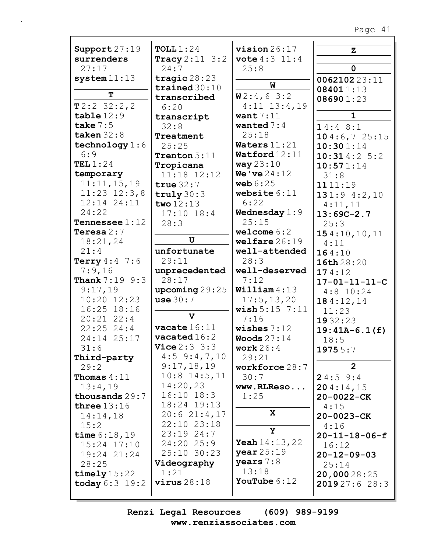| Support $27:19$         | TOLL1:24                  | $vision 26:17$             | $\mathbf{z}$            |
|-------------------------|---------------------------|----------------------------|-------------------------|
| surrenders              | <b>Tracy</b> $2:11 \ 3:2$ | <b>vote</b> $4:3$ $11:4$   |                         |
| 27:17                   | 24:7                      | 25:8                       | $\mathbf 0$             |
| system11:13             | tragic $28:23$            |                            | 006210223:11            |
|                         | trained $30:10$           | W                          | 084011:13               |
| T                       | transcribed               | W2:4,63:2                  | 086901:23               |
| T2:232:2,2              | 6:20                      | $4:11$ $13:4,19$           |                         |
| table12:9               | transcript                | want $7:11$                | $\mathbf{1}$            |
| take $7:5$              | 32:8                      | wanted $7:4$               | 14:48::1                |
| taken $32:8$            | Treatment                 | 25:18                      | 104:6,725:15            |
| technology $1:6$        | 25:25                     | Waters $11:21$             | 10:301:14               |
| 6:9                     | Trenton 5:11              | Watford 12:11              | 10:314:25:2             |
| TEL $1:24$              | Tropicana                 | way $23:10$                | 10:571:14               |
| temporary               | 11:18 12:12               | <b>We've</b> $24:12$       | 31:8                    |
| 11:11,15,19             | true $32:7$               | web $6:25$                 | 1111:19                 |
| $11:23$ $12:3,8$        | truly $30:3$              | website $6:11$             | 131:94:2,10             |
| 12:14 24:11             | two $12:13$               | 6:22                       |                         |
| 24:22                   | $17:10$ $18:4$            | Wednesday $1:9$            | 4:11,11                 |
| <b>Tennessee</b> $1:12$ |                           | 25:15                      | $13:69C-2.7$            |
| Teresa $2:7$            | 28:3                      | welcome $6:2$              | 25:3                    |
|                         | $\mathbf U$               | wellfare 26:19             | 154:10,10,11            |
| 18:21,24                |                           |                            | 4:11                    |
| 21:4                    | unfortunate               | well-attended              | 164:10                  |
| <b>Terry</b> $4:4$ 7:6  | 29:11                     | 28:3                       | 16th 28:20              |
| 7:9,16                  | unprecedented             | well-deserved              | 174:12                  |
| <b>Thank</b> 7:19 9:3   | 28:17                     | 7:12                       | $17 - 01 - 11 - 11 - C$ |
| 9:17,19                 | $\text{upcoming } 29:25$  | William 4:13               | $4:8$ 10:24             |
| 10:20 12:23             | use 30:7                  | 17:5, 13, 20               | 184:12,14               |
| 16:25 18:16             | $\mathbf v$               | wish 5:15 7:11             | 11:23                   |
| $20:21$ $22:4$          |                           | 7:16                       | 1932:23                 |
| $22:25$ 24:4            | $\texttt{vacate}$ $16:11$ | wishes $7:12$              | $19:41A-6.1(f)$         |
| 24:14 25:17             | $\texttt{vacated}16:2$    | Woods $27:14$              | 18:5                    |
| 31:6                    | <b>Vice</b> $2:3:3:3$     | work $26:4$                | 19755:7                 |
| Third-party             | $4:5$ 9:4,7,10            | 29:21                      |                         |
| 29:2                    | 9:17,18,19                | workforce 28:7             | $\overline{2}$          |
| Thomas $4:11$           | $10:8$ 14:5, 11           | 30:7                       | 24:59:4                 |
| 13:4,19                 | 14:20,23                  | www.RLReso                 | 204:14,15               |
| thousands 29:7          | $16:10$ $18:3$            | 1:25                       | 20-0022-CK              |
| three $13:16$           | 18:24 19:13               |                            | 4:15                    |
| 14:14,18                | 20:621:4,17               | X.                         | 20-0023-CK              |
| 15:2                    | 22:10 23:18               |                            | 4:16                    |
| time $6:18,19$          | $23:19$ $24:7$            | Υ                          | $20 - 11 - 18 - 06 - f$ |
| $15:24$ $17:10$         | 24:20 25:9                | <b>Yeah</b> $14:13$ , $22$ | 16:12                   |
| 19:24 21:24             | 25:10 30:23               | year25:19                  | $20 - 12 - 09 - 03$     |
| 28:25                   | Videography               | years $7:8$                | 25:14                   |
| timely $15:22$          | 1:21                      | 13:18                      | 20,00028:25             |
| today $6:3$ 19:2        | virus28:18                | YouTube $6:12$             | 201927:628:3            |
|                         |                           |                            |                         |